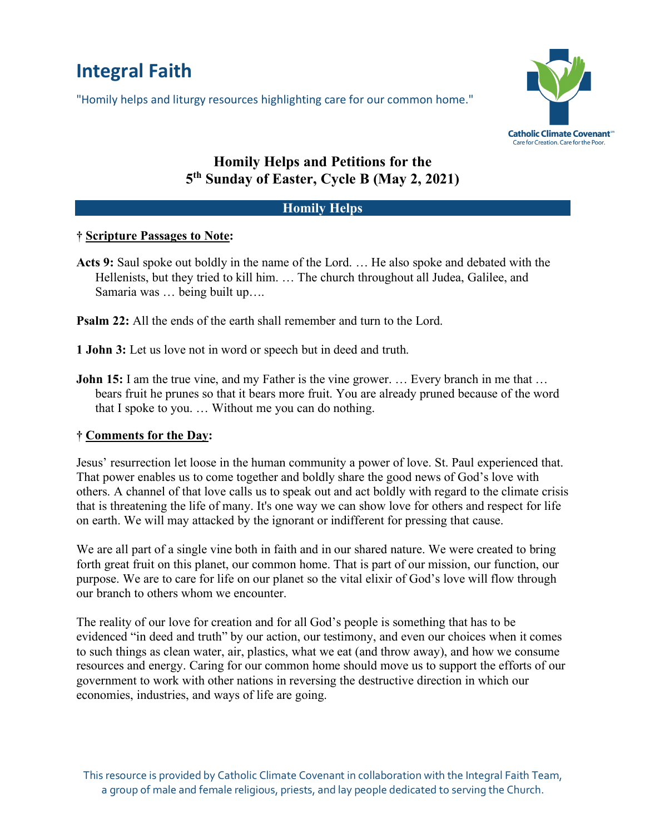# **Integral Faith**

"Homily helps and liturgy resources highlighting care for our common home."



# **Homily Helps and Petitions for the 5th Sunday of Easter, Cycle B (May 2, 2021)**

## **Homily Helps**

#### **† Scripture Passages to Note:**

**Acts 9:** Saul spoke out boldly in the name of the Lord. … He also spoke and debated with the Hellenists, but they tried to kill him. … The church throughout all Judea, Galilee, and Samaria was … being built up….

**Psalm 22:** All the ends of the earth shall remember and turn to the Lord.

- **1 John 3:** Let us love not in word or speech but in deed and truth.
- **John 15:** I am the true vine, and my Father is the vine grower. ... Every branch in me that ... bears fruit he prunes so that it bears more fruit. You are already pruned because of the word that I spoke to you. … Without me you can do nothing.

## **† Comments for the Day:**

Jesus' resurrection let loose in the human community a power of love. St. Paul experienced that. That power enables us to come together and boldly share the good news of God's love with others. A channel of that love calls us to speak out and act boldly with regard to the climate crisis that is threatening the life of many. It's one way we can show love for others and respect for life on earth. We will may attacked by the ignorant or indifferent for pressing that cause.

We are all part of a single vine both in faith and in our shared nature. We were created to bring forth great fruit on this planet, our common home. That is part of our mission, our function, our purpose. We are to care for life on our planet so the vital elixir of God's love will flow through our branch to others whom we encounter.

The reality of our love for creation and for all God's people is something that has to be evidenced "in deed and truth" by our action, our testimony, and even our choices when it comes to such things as clean water, air, plastics, what we eat (and throw away), and how we consume resources and energy. Caring for our common home should move us to support the efforts of our government to work with other nations in reversing the destructive direction in which our economies, industries, and ways of life are going.